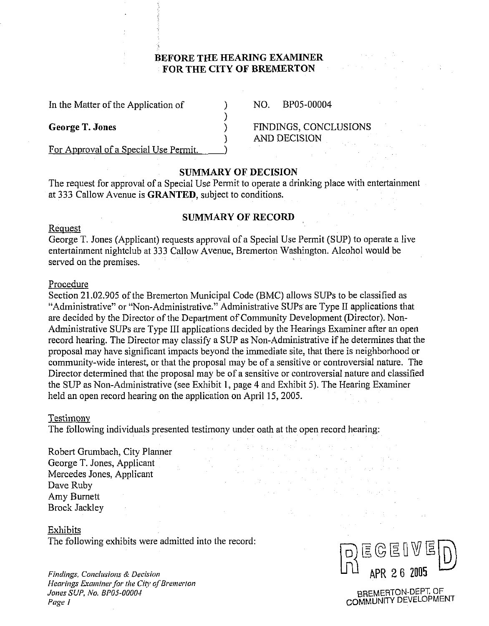# **BEFORE THE HEARING EXAMINER FOR THE CITY OF BREMERTON**

)

In the Matter of the Application of 1 NO. BP05-00004

AND DECISION

George T. Jones **1 A. S. A. S. A. S. A. S. A. S. A. S. A. S. A. S. A. S. A. S. A. S. A. S. A. S. A. S. A. S. A. S. A. S. A. S. A. S. A. S. A. S. A. S. A. S. A. S. A. S. A. S. A. S. A. S. A. S. A. S. A. S. A. S. A. S. A. S.** 

For Approval of a Special Use Permit.

## **SUMMARY OF DECISION**

The request for approval of a Special Use Permit to operate a drinking place with entertainment at 333 Callow Avenue is **GRANTED,** subject to conditions.

#### **SUMMARY OF RECORD**

#### Request

George T. Jones (Applicant) requests approval of a Special Use Permit (SUP) to operate a live entertainment nightclub at 333 Callow Avenue, Bremerton Washington. Alcohol would be served on the premises.

#### Procedure

Section 21.02.905 of the Bremerton Municipal Code (BMC) allows SUPS to be classified as "Administrative" or "Non-Administrative." Administrative SUPs are Type I1 applications that are decided by the Director of the Department of Community Development (Director). Non-Administrative SUPs are Type III applications decided by the Hearings Examiner after an open record hearing. The Director may classify a SUP as Non-Administrative if he determines that the proposal may have significant impacts beyond the immediate site, that there is neighborhood or community-wide interest, or that the proposal may be of a sensitive or controversial nature. The Director determined that the proposal may be of a sensitive or controversial nature and classified the SUP as Non-Administrative (see Exhibit 1, page 4 and Exhibit 5). The Hearing Examiner held an open record hearing on the application on April 15, 2005.

#### Testimony

The following individuals presented testimony under oath at the open record hearing:

 $\mathcal{L}_{\mathcal{L}}^{(1)}$  , and  $\mathcal{L}_{\mathcal{L}}^{(2)}$  , and  $\mathcal{L}_{\mathcal{L}}^{(3)}$ 

Robert Grumbach, City Planner George T. Jones, Applicant Mercedes Jones, Applicant Dave Ruby Amy Burnett Brock Jackley

#### Exhibits

The following exhibits were admitted into the record:

**Findings. Conclusions & Decision Hearings Examiner for the City of Bremerton** Jones SUP, No. BP05-00004 **Pogr 1** 



 $\label{eq:2.1} \begin{split} \frac{d}{dt} \left( \frac{d}{dt} \left( \frac{d}{dt} \right) \right) & = \frac{d}{dt} \left( \frac{d}{dt} \left( \frac{d}{dt} \right) \right) & = \frac{d}{dt} \left( \frac{d}{dt} \left( \frac{d}{dt} \right) \right) \\ \frac{d}{dt} \left( \frac{d}{dt} \left( \frac{d}{dt} \right) \right) & = \frac{d}{dt} \left( \frac{d}{dt} \left( \frac{d}{dt} \right) \right) & = \frac{d}{dt} \left( \frac{d}{dt} \left( \frac{d}{dt} \right) \right$ 

 $\label{eq:2.1} \frac{1}{\sqrt{2\pi}}\sum_{i=1}^n\frac{1}{\sqrt{2\pi}}\left(\frac{1}{\sqrt{2\pi}}\sum_{i=1}^n\frac{1}{\sqrt{2\pi}}\sum_{i=1}^n\frac{1}{\sqrt{2\pi}}\sum_{i=1}^n\frac{1}{\sqrt{2\pi}}\sum_{i=1}^n\frac{1}{\sqrt{2\pi}}\sum_{i=1}^n\frac{1}{\sqrt{2\pi}}\sum_{i=1}^n\frac{1}{\sqrt{2\pi}}\sum_{i=1}^n\frac{1}{\sqrt{2\pi}}\sum_{i=1}^n\frac{1}{\sqrt{$ 

BREMERTON-DEPT. OF COMMUNITY DEVELOPMENT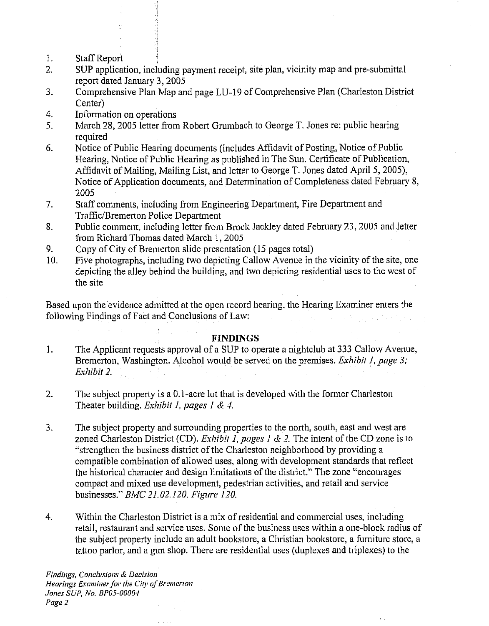- 1. Staff Report
- SUP application, including payment receipt, site plan, vicinity map and pre-submittal  $2.$ report dated January 3,2005
- 3. Comprehensive Plan Map and page LU-19 of Comprehensive Plan (Charleston District Center)
- Information on operations 4.

j

- March 28,2005 letter from Robert Grumbach to George T. Jones re: public hearing 5. required
- Notice of Public Hearing documents (includes Affidavit of Posting, Notice of Public 6. Hearing, Notice of Public Hearing as published in The Sun, Certificate of Publication, Affidavit of Mailing, Mailing List, and letter to George T. Jones dated April 5,2005), Notice of Application documents, and Determination of Completeness dated February 8, 2005
- 7. Staff comments, including from Engineering Department, Fire Department and Traffic/Bremerton Police Department
- Public comment, including letter from Brock Jackley dated February 23,2005 and letter 8. from Richard Thomas dated March 1, 2005
- 9. Copy of City of Bremerton slide presentation (15 pages total)

 $\mathbf{r}$ 

Five photographs, including two depicting Callow Avenue in the vicinity of the site, one 10. depicting the alley behind the building, and two depicting residential uses to the west of the site

Based upon the evidence admitted at the open record hearing, the Hearing Examiner enters the following Findings of Fact and Conclusions of Law:

# **FINDINGS**

- 1. The Applicant requests approval of a SUP to operate a nightclub at 333 Callow Avenue, Bremerton, Washington. Alcohol would be served on the premises. *Exhibit* 1, *pnge 3; Exhibit 2.*
- 2. The subject property is a 0.1-acre lot that is developed with the former Charleston Theater building. *Eshibit* I, *pcrges I* & 4.
- 3. The subject property and surrounding properties to the north, south, east and west are zoned Charleston District (CD). *Exhibit I, pages 1* & *2.* The intent of the CD zone is to "strengthen the business district of the Charleston neighborhood by providing a compatible combination of allowed uses, along with development standards that reflect the historical character and design limitations of the district." The zone "encourages compact and mixed use development, pedestrian activities, and retail and service businesses." *BMC 21.02.120, Figure 120.*
- 4. Within the Charleston District is a mix of residential and commercial uses, including retail, restaurant and service uses. Some of the business uses within a one-block radius of the subject property include an adult bookstore, a Christian bookstore, a furniture store, a tattoo parlor, and a gun shop. There are residential uses (duplexes and triplexes) to the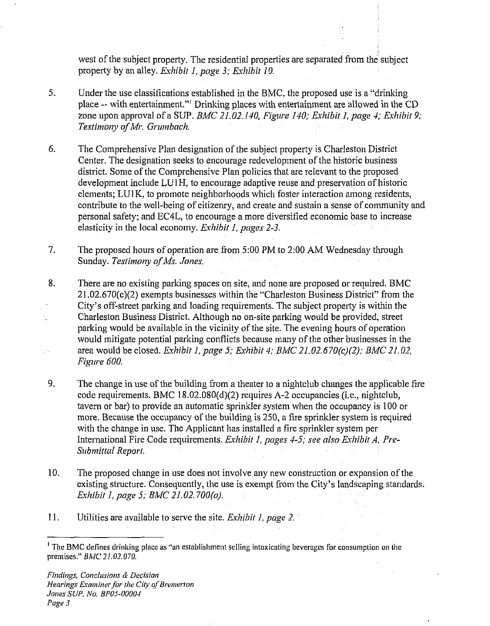west of the subject property. The residential properties are separated from the subject property by an alley. *Exhibit 1, page* **3:** *Exhibit 10.* 

- *5.* Under the use classifications established in the BMC, the proposed use is a "drinking place -- with entertainment."' Drinking places with entertainment are allowed in the CD zone upon approval of a SUP. *BMC 21.02.140, Figure 140; Exhibit I, page 4; Exhibit 9;*  **Testimony of Mr. Grumbach.**
- 6. The Comprehensive Plan designation of the subject property is Charleston District Center. The designation seeks to encourage redevelopment of the historic business district. Some of the Comprehensive Plan policies that are relevant to the proposed development include LUIH, to encourage adaptive reuse and preservation of historic elements; LUIK, to promote neighborhoods which foster interaction among residents, contribute to the well-being of citizenry, and create and sustain a sense of community and personal safety; and EC4L, to encourage a more diversified economic base to increase elasticity in the local economy. *Exhibit 1, pages 2-3.*
- 7. The proposed hours of operation are from 5:00 PM to 2:00 AM Wednesday through Sunday. Testimony of Ms. Jones.
- 8. There are no existing parking spaces on site, and none are proposed or required. BMC  $21.02.670(c)(2)$  exempts businesses within the "Charleston Business District" from the City's off-street parking and loading requirements. The subject property is within the Charleston Business District. Although no on-site parking would be provided, street parking would be available in the vicinity of the site. The evening hours of operation would mitigate potential parking conflicts because many of the other businesses in the area would be closed. *Exhibit 1, page 5; Exhibit 4; BMC 21.02.670(c)(2); BMC 21.02*, *Figure 600.*
- **9.** The change in use of the building from a theater to a nightclub changes the applicable fire code requirements. BMC 18.02.080(d)(2) requires **A-2** occupancies (i.e., nightclub, tavern or bar) to provide an automatic sprinkler system when the occupancy is 100 or more. Because the occupancy of the building is 250, a fire sprinkler system is required with the change in use. The Applicant has installed a fire sprinkler system per International Fire Code requirements. *Exhibit 1, pages 4-5; see also Eshibit A, Pre-***Submittal Report.**
- 10. The proposed change in use does not involve any new construction or expansion or the existing structure. Consequently, the use is exempt from the City's landscaping standards. *Exhibit 1, page 5; BMC 21.02.700(0).*
- 11. Utilities are available to serve the site. *Exhibit 1, page 2.*

<sup>I</sup>The **BMC** defines drinking place as "an establishment selling intoxicating beverages for consumption on the premises." *BMC 21.02.070.*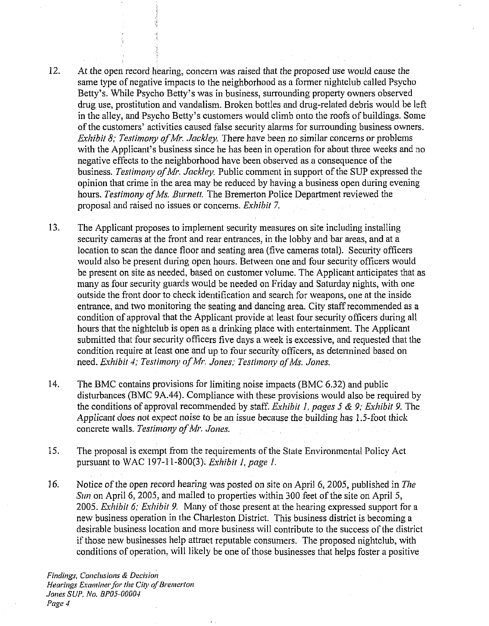- $12.$ At the open record hearing, concern was raised that the proposed use would cause the same type of negative impacts to the neighborhood as a former nightclub called Psycho Betty's. While Psycho Betty's was in business, surrounding property owners observed drug use, prostitution and vandalism. Broken bottles and drug-related debris would be left in the alley, and Psycho Betty's customers would climb onto the roofs of buildings. Some of the customers' activities caused false security alarms for surrounding business owners. *Exhibit 8; Testimony of Mr. Jackley.* There have been no similar concerns or problems with the Applicant's business since he has been in operation for about three weeks and no negative effects to the neighborhood have been observed as a consequence of the business. *Testimony of Mr. Jackley.* Public comment in support of the SUP expressed the opinion that crime in the area may be reduced by having a business open during evening hours. *Testimony of Ms. Bwnett.* The Bremerton Police Department reviewed the proposal and raised no issues or concerns. *Exhibit* 7.
- 13. The Applicant proposes to implement security measures on site including installing security cameras at the front and rear entrances, in the lobby and bar areas, and at a location to scan the dance floor and seating area (five cameras total). Security officers would also be present during open hours. Between one and four security officers would be present on site as needed, based on customer volume. The Applicant anticipates that as many as four security guards would be needed on Friday and Saturday nights, with one outside the front door to check identification and search for weapons, one at the inside entrance, and two monitoring the seating and dancing area. City staff recommended as a condition of approval that the Applicant provide at least four security officers during all hours that the nightclub is open **a3** a drinking place with entertainment. The Applicant submitted that four security officers five days a week is excessive, and requested that the condition require at least one and up to four security officers, as determined based on need. *Exhibit 4: Testimony of Mr. Jones: Testimony of Ms. Jones.*
- The BMC contains provisions for limiting noise impacts (BMC 6.32) and public 14. disturbances (BMC 9A.44). Compliance with these provisions would also be required by the conditions of approval recommended by staff. *Exhibit* I, *pages* **j** & *9; Exhibit 9.* The Applicant does not expect noise to be an issue because the building has 1.5-foot thick concrete walls. *Testimory of Mr. Jones.*
- The proposal is exempt from the requirements of the State Environmental Policy Act 15. pursuant to WAC 197-1 1-800(3). *Exhibit* I, *page 1.*
- 16. Notice of the open record hearing was posted on site on April 6,2005, published in *The Sun* on April 6, 2005, and mailed to properties within 300 feet of the site on April 5, 2005. *Exhibit* 6; *Exhibit 9.* Many of those present at the hearing expressed support for a new business operation in the Charleston District. This business district is becoming a desirable business location and more business will contribute to the success of the district if those new businesses help attract reputable consumers. The proposed nightclub, with conditions of operation, will likely be one of those businesses that helps foster a positive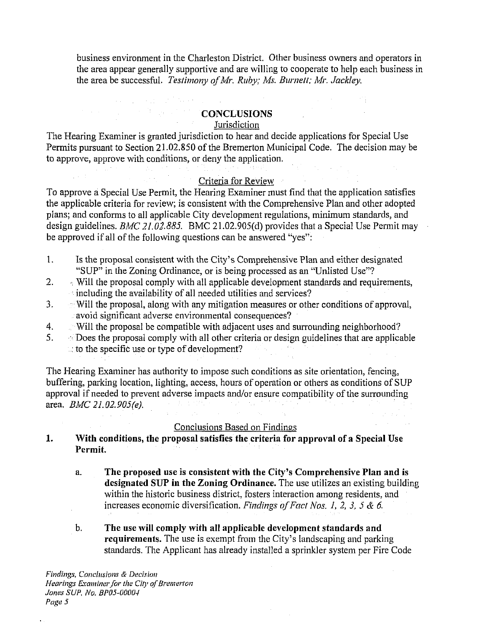business environment in the Charleston District. Other business owners and operators in the area appear generally supportive and are willing to cooperate to help each business in the area be successful. *Testimony of Mr. Ruby; Ms. Burnett; Mr. Jackley.* 

# **CONCLUSIONS**

# **Jurisdiction**

The Hearing Examiner is granted jurisdiction to hear and decide applications for Special Use Permits pursuant to Section 21.02.850 of the Bremerton Municipal Code. The decision may be to approve, approve with conditions, or deny the application.

## Criteria for Review

To approve a Special Use Permit, the Hearing Examiner must find that the application satisfies the applicable criteria for review; is consistent with the Comprehensive Plan and other adopted plans; and conforms to all applicable City development regulations, minimum standards, and design guidelines. *BMC 21.02.88j.* BMC 21.02.905(d) provides that a Special Use Permit may be approved if all of the following questions can be answered "yes":

- 1. Is the proposal consistent with the City's Comprehensive Plan and either designated "SUP" in the Zoning Ordinance, or is being processed as an "Unlisted Use"?
- 2.  $\mathbb{R}^3$  Will the proposal comply with all applicable development standards and requirements,  $\sim$  including the availability of all needed utilities and services?
- **3.** Will the proposal, along with any mitigation measures or other conditions of approval. avoid significant adverse environmental consequences?
- 4. Will the proposal be compatible with adjacent uses and surrounding neighborhood?
- 5. Does the proposal comply with all other criteria or design guidelines that are applicable  $\sim$  to the specific use or type of development?

The Hearing Examiner has authority to impose such conditions as site orientation, fencing, buffering, parking location, lighting, access. hours of operation or others as conditions of SUP approval if needed to prevent adverse impacts and/or ensure compatibility of the surrounding<br> $\frac{PMC}{2L} = \frac{PMC}{2L} = \frac{PMC}{2L} = \frac{PMC}{2L}$ area. *BMC 21.02.905(e).* 

## Conclusions Based on Findings

**1. With conditions, the proposal satisfies the criteria for approval of a Special Use Permit.** 

- a. **The proposed use is consistent with the City's Comprehensive Plan and is designated SUP in the Zoning Ordinance.** The use utilizes an existing building within the historic business district, fosters interaction among residents, and increases economic diversification. *Findings oj'Fnct Nos. I, 2, 3,* **5** & *6.*
- b. **The use will comply with all applicable development standards and requirements.** The use is exempt from the City's landscaping and parking standards. The Applicant has already installed a sprinkler system per Fire Code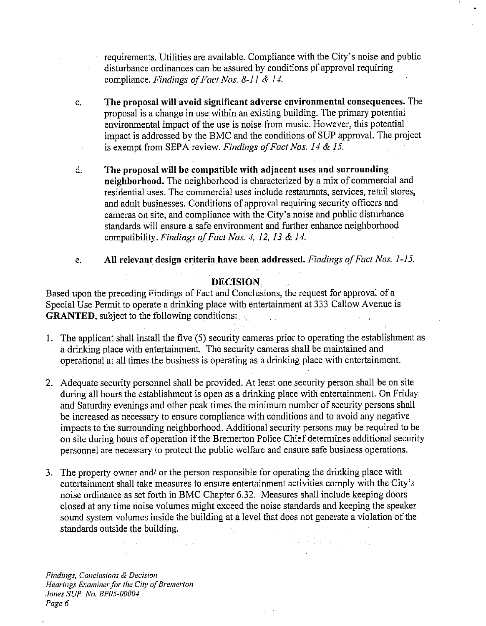requirements. Utilities are available. Compliance with the City's noise and public disturbance ordinances can be assured by conditions of approval requiring compliance. *Findings ofFact Nos. 8-11* & 14.

- c. The proposal will avoid significant adverse environmental consequences. The proposal is a change in use within an existing building. The primary potential environmental impact of the use is noise from music. However, this potential impact is addressed by the BMC and the conditions of SUP approval. The project is exempt from SEPA review. *Findings of Fact Nos. 14 & 15.*
- d. The proposal will be compatible with adjacent uses and surrounding neighborhood. The neighborhood is characterized by a mix of commercial and residential uses. The commercial uses include restaurants, services, retail stores, and adult businesses. Conditions of approval requiring security officers and cameras on site, and compliance with the City's noise and public disturbance  $\hat{\phi}$ standards will ensure a safe environment and further enhance neighborhood compatibility. *Findings of Fact Nos. 4, 12, 13 & 14.*
- e. All relevant design criteria have been addressed. *Findings of Fnct Nos. 1-13.*

# DECISION

Based upon the preceding Findings of Fact and Conclusions, the request for approval of a Special Use Permit to operate a drinking place with entertainment at 333 Callow Avenue is GRANTED, subject to the following conditions: والمستحيل والمتعارف والمستحيل والمتعارف

- 1. The applicant shall install the five (5) security cameras prior to operating the establishment as a drinking place with entertainment. The security cameras shall be maintained and operational at all times the business is operating as a drinking place with entertainment.
- 2. Adequate security personnel shall be provided. At least one security person shall be on site during all hours the establishment is open as a drinking place with entertainment. On Friday and Saturday evenings and other peak times the minimum number of security persons shall be increased as necessary to ensure compliance with conditions and to avoid any negative impacts to the surrounding neighborhood. Additional security persons may be required to be on site during hours of operation if the Bremerton Police Chief determines additional security personnel are necessary to protect the public welfare and ensure safe business operations.
- **3.** The property owner and/ or the person responsible for operating the drinking place with entertainment shall take measures to ensure entertainment activities comply with the City's noise ordinance as set forth in BMC Chapter 6.32. Measures shall include keeping doors closed at any time noise volumes might exceed the noise standards and keeping the speaker sound system volumes inside the building at a level that does not generate a violation of the standards outside the building.

*Findings, Conclusions & Decision* **Hearings Examiner for the City of Bremerton** *Jones SUP, No. BP05-00004 Page 6*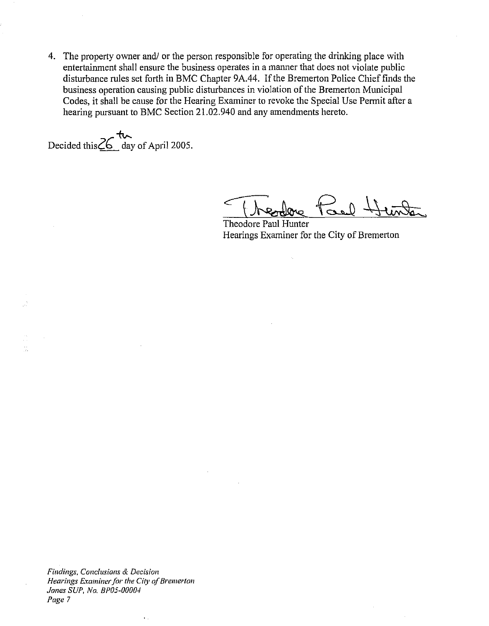4. The property owner and/ or the person responsible for operating the drinking place with entertainment shall ensure the business operates in a manner that does not violate public disturbance rules set forth in BMC Chapter 9A.44. If the Bremerton Police Chief finds the business operation causing public disturbances in violation of the Bremerton Municipal Codes, it shall be cause for the Hearing Examiner to revoke the Special Use Permit after a hearing pursuant to BMC Section 21.02.940 and any amendments hereto.

**h^**  Decided this $\underline{\leq} 6$  day of April 2005.

Comment  $\frac{1}{2}$ 

Theodore Paul Hunter Hearings Examiner for the City of Bremerton

 $Findings$ , Conclusions & Decision *Hearings Examiner for the City of Bremerton Jones SUP, No. BPOj-00004 Page 7* 

 $\mathbf{r}$  .